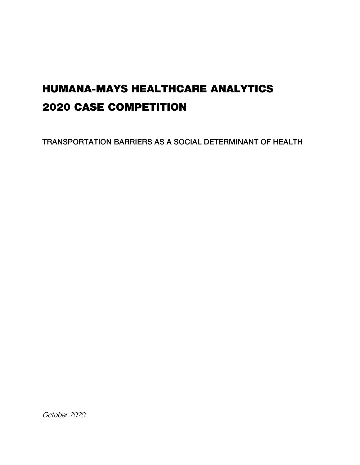# HUMANA-MAYS HEALTHCARE ANALYTICS 2020 CASE COMPETITION

TRANSPORTATION BARRIERS AS A SOCIAL DETERMINANT OF HEALTH DETERMINANT OF HEALTH DETERMINANT OF HEALTH DETERMIN<br>The social determinant of health determinant of health determinant of health determinant of health determinant

October 2020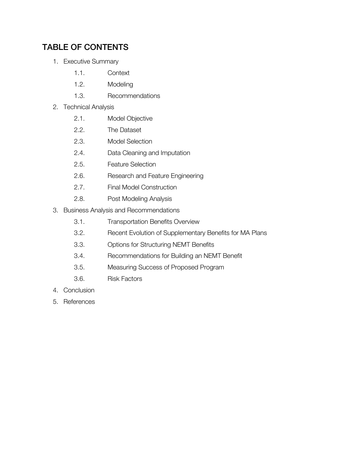# TABLE OF CONTENTS

- 1. Executive Summary
	- 1.1. Context
	- 1.2. Modeling
	- 1.3. Recommendations
- 2. Technical Analysis
	- 2.1. Model Objective
	- 2.2. The Dataset
	- 2.3. Model Selection
	- 2.4. Data Cleaning and Imputation
	- 2.5. Feature Selection
	- 2.6. Research and Feature Engineering
	- 2.7. Final Model Construction
	- 2.8. Post Modeling Analysis
- 3. Business Analysis and Recommendations
	- 3.1. Transportation Benefits Overview
	- 3.2. Recent Evolution of Supplementary Benefits for MA Plans
	- 3.3. Options for Structuring NEMT Benefits
	- 3.4. Recommendations for Building an NEMT Benefit
	- 3.5. Measuring Success of Proposed Program
	- 3.6. Risk Factors
- 4. Conclusion
- 5. References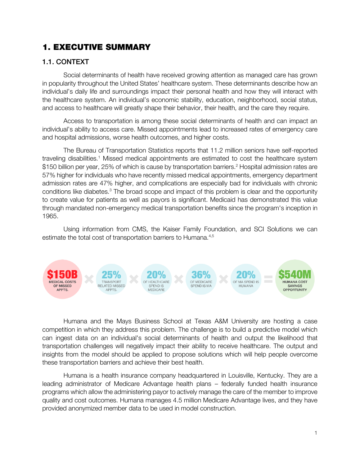# 1. EXECUTIVE SUMMARY

# 1.1. CONTEXT

Social determinants of health have received growing attention as managed care has grown in popularity throughout the United States' healthcare system. These determinants describe how an individual's daily life and surroundings impact their personal health and how they will interact with the healthcare system. An individual's economic stability, education, neighborhood, social status, and access to healthcare will greatly shape their behavior, their health, and the care they require.

Access to transportation is among these social determinants of health and can impact an individual's ability to access care. Missed appointments lead to increased rates of emergency care and hospital admissions, worse health outcomes, and higher costs.

The Bureau of Transportation Statistics reports that 11.2 million seniors have self-reported traveling disabilities.<sup>1</sup> Missed medical appointments are estimated to cost the healthcare system \$150 billion per year, 25% of which is cause by transportation barriers. <sup>2</sup> Hospital admission rates are 57% higher for individuals who have recently missed medical appointments, emergency department admission rates are 47% higher, and complications are especially bad for individuals with chronic conditions like diabetes.<sup>3</sup> The broad scope and impact of this problem is clear and the opportunity to create value for patients as well as payors is significant. Medicaid has demonstrated this value through mandated non-emergency medical transportation benefits since the program's inception in 1965.

Using information from CMS, the Kaiser Family Foundation, and SCI Solutions we can estimate the total cost of transportation barriers to Humana.<sup>4,5</sup>



Humana and the Mays Business School at Texas A&M University are hosting a case competition in which they address this problem. The challenge is to build a predictive model which can ingest data on an individual's social determinants of health and output the likelihood that transportation challenges will negatively impact their ability to receive healthcare. The output and insights from the model should be applied to propose solutions which will help people overcome these transportation barriers and achieve their best health.

Humana is a health insurance company headquartered in Louisville, Kentucky. They are a leading administrator of Medicare Advantage health plans – federally funded health insurance programs which allow the administering payor to actively manage the care of the member to improve quality and cost outcomes. Humana manages 4.5 million Medicare Advantage lives, and they have provided anonymized member data to be used in model construction.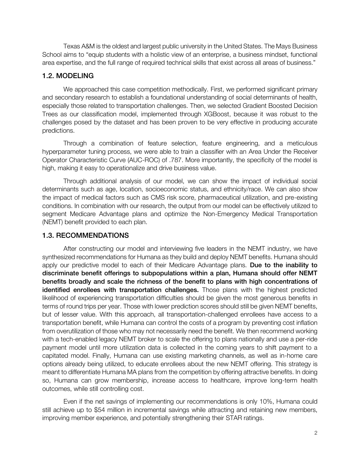Texas A&M is the oldest and largest public university in the United States. The Mays Business School aims to "equip students with a holistic view of an enterprise, a business mindset, functional area expertise, and the full range of required technical skills that exist across all areas of business."

#### 1.2. MODELING 1.2. MODELING

We approached this case competition methodically. First, we performed significant primary and secondary research to establish a foundational understanding of social determinants of health, especially those related to transportation challenges. Then, we selected Gradient Boosted Decision Trees as our classification model, implemented through XGBoost, because it was robust to the challenges posed by the dataset and has been proven to be very effective in producing accurate predictions.

Through a combination of feature selection, feature engineering, and a meticulous hyperparameter tuning process, we were able to train a classifier with an Area Under the Receiver Operator Characteristic Curve (AUC-ROC) of .787. More importantly, the specificity of the model is high, making it easy to operationalize and drive business value.

Through additional analysis of our model, we can show the impact of individual social determinants such as age, location, socioeconomic status, and ethnicity/race. We can also show the impact of medical factors such as CMS risk score, pharmaceutical utilization, and pre-existing conditions. In combination with our research, the output from our model can be effectively utilized to segment Medicare Advantage plans and optimize the Non-Emergency Medical Transportation (NEMT) benefit provided to each plan.

### **1.3. RECOMMENDATIONS** 1.3. RECOMMENDATIONS

After constructing our model and interviewing five leaders in the NEMT industry, we have synthesized recommendations for Humana as they build and deploy NEMT benefits. Humana should apply our predictive model to each of their Medicare Advantage plans. Due to the inability to discriminate benefit offerings to subpopulations within a plan, Humana should offer NEMT benefits broadly and scale the richness of the benefit to plans with high concentrations of identified enrollees with transportation challenges. Those plans with the highest predicted<br>likelihood of experiencing transportation difficulties should be given the most generous benefits in likelihood of experiencing transportation difficulties should be given the most generous benefits in terms of round trips per year. Those with lower prediction scores should still be given NEMT benefits, but of lesser value. With this approach, all transportation-challenged enrollees have access to a transportation benefit, while Humana can control the costs of a program by preventing cost inflation from overutilization of those who may not necessarily need the benefit. We then recommend working with a tech-enabled legacy NEMT broker to scale the offering to plans nationally and use a per-ride payment model until more utilization data is collected in the coming years to shift payment to a capitated model. Finally, Humana can use existing marketing channels, as well as in-home care options already being utilized, to educate enrollees about the new NEMT offering. This strategy is meant to differentiate Humana MA plans from the competition by offering attractive benefits. In doing so, Humana can grow membership, increase access to healthcare, improve long-term health outcomes, while still controlling cost.

Even if the net savings of implementing our recommendations is only 10%, Humana could still achieve up to \$54 million in incremental savings while attracting and retaining new members, improving member experience, and potentially strengthening their STAR ratings.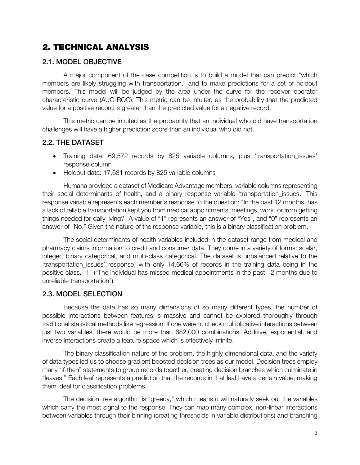# 2. TECHNICAL ANALYSIS

# 2.1. MODEL OBJECTIVE

A major component of the case competition is to build a model that can predict "which members are likely struggling with transportation," and to make predictions for a set of holdout members. This model will be judged by the area under the curve for the receiver operator characteristic curve (AUC-ROC). This metric can be intuited as the probability that the predicted value for a positive record is greater than the predicted value for a negative record.

This metric can be intuited as the probability that an individual who did have transportation challenges will have a higher prediction score than an individual who did not.

# 2.2. THE DATASET

- Training data: 69,572 records by 825 variable columns, plus 'transportation issues' response column
- Holdout data: 17,681 records by 825 variable columns

Humana provided a dataset of Medicare Advantage members, variable columns representing their social determinants of health, and a binary response variable 'transportation\_issues.' This response variable represents each member's response to the question: "In the past 12 months, has a lack of reliable transportation kept you from medical appointments, meetings, work, or from getting things needed for daily living?" A value of "1" represents an answer of "Yes", and "0" represents an answer of "No." Given the nature of the response variable, this is a binary classification problem.

The social determinants of health variables included in the dataset range from medical and pharmacy claims information to credit and consumer data. They come in a variety of forms: scalar, integer, binary categorical, and multi-class categorical. The dataset is unbalanced relative to the 'transportation\_issues' response, with only 14.66% of records in the training data being in the positive class, "1" ("The individual has missed medical appointments in the past 12 months due to unreliable transportation").

### 2.3. MODEL SELECTION 2.3. MODEL SELECTION

Because the data has so many dimensions of so many different types, the number of possible interactions between features is massive and cannot be explored thoroughly through traditional statistical methods like regression. If one were to check multiplicative interactions between just two variables, there would be more than 682,000 combinations. Additive, exponential, and inverse interactions create a feature space which is effectively infinite.

The binary classification nature of the problem, the highly dimensional data, and the variety of data types led us to choose gradient boosted decision trees as our model. Decision trees employ many "if-then" statements to group records together, creating decision branches which culminate in "leaves." Each leaf represents a prediction that the records in that leaf have a certain value, making them ideal for classification problems.

The decision tree algorithm is "greedy," which means it will naturally seek out the variables which carry the most signal to the response. They can map many complex, non-linear interactions between variables through their binning (creating thresholds in variable distributions) and branching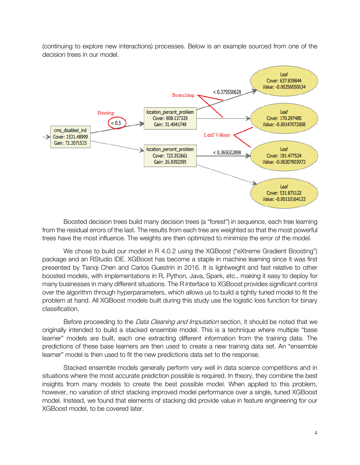(continuing to explore new interactions) processes. Below is an example sourced from one of the decision trees in our model.



Boosted decision trees build many decision trees (a "forest") in sequence, each tree learning from the residual errors of the last. The results from each tree are weighted so that the most powerful trees have the most influence. The weights are then optimized to minimize the error of the model.

We chose to build our model in R 4.0.2 using the XGBoost ("eXtreme Gradient Boosting") package and an RStudio IDE. XGBoost has become a staple in machine learning since it was first presented by Tianqi Chen and Carlos Guestrin in 2016. It is lightweight and fast relative to other boosted models, with implementations in R, Python, Java, Spark, etc., making it easy to deploy for many businesses in many different situations. The R interface to XGBoost provides significant control over the algorithm through hyperparameters, which allows us to build a tightly tuned model to fit the problem at hand. All XGBoost models built during this study use the logistic loss function for binary classification.

Before proceeding to the *Data Cleaning and Imputation* section, it should be noted that we originally intended to build a stacked ensemble model. This is a technique where multiple "base learner" models are built, each one extracting different information from the training data. The predictions of these base learners are then used to create a new training data set. An "ensemble learner" model is then used to fit the new predictions data set to the response.

Stacked ensemble models generally perform very well in data science competitions and in situations where the most accurate prediction possible is required. In theory, they combine the best insights from many models to create the best possible model. When applied to this problem, however, no variation of strict stacking improved model performance over a single, tuned XGBoost model. Instead, we found that elements of stacking did provide value in feature engineering for our XGBoost model, to be covered later.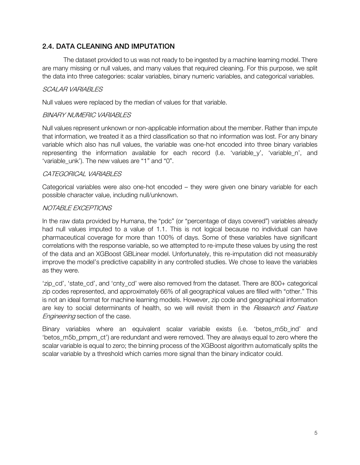### **2.4. DATA CLEANING AND IMPUTATION** 2.4. DATA CLEANING AND IMPUTATION

The dataset provided to us was not ready to be ingested by a machine learning model. There are many missing or null values, and many values that required cleaning. For this purpose, we split the data into three categories: scalar variables, binary numeric variables, and categorical variables.

# SCALAR VARIABLES

Null values were replaced by the median of values for that variable.

## BINARY NUMERIC VARIABLES

Null values represent unknown or non-applicable information about the member. Rather than impute that information, we treated it as a third classification so that no information was lost. For any binary variable which also has null values, the variable was one-hot encoded into three binary variables representing the information available for each record (I.e. 'variable y', 'variable n', and 'variable unk'). The new values are "1" and "0".

## CATEGORICAL VARIABLES

Categorical variables were also one-hot encoded – they were given one binary variable for each possible character value, including null/unknown.

## NOTABLE EXCEPTIONS

In the raw data provided by Humana, the "pdc" (or "percentage of days covered") variables already had null values imputed to a value of 1.1. This is not logical because no individual can have pharmaceutical coverage for more than 100% of days. Some of these variables have significant correlations with the response variable, so we attempted to re-impute these values by using the rest of the data and an XGBoost GBLinear model. Unfortunately, this re-imputation did not measurably improve the model's predictive capability in any controlled studies. We chose to leave the variables as they were.

'zip\_cd', 'state\_cd', and 'cnty\_cd' were also removed from the dataset. There are 800+ categorical zip codes represented, and approximately 66% of all geographical values are filled with "other." This is not an ideal format for machine learning models. However, zip code and geographical information are key to social determinants of health, so we will revisit them in the *Research and Feature* **Engineering section of the case.** 

Binary variables where an equivalent scalar variable exists (i.e. 'betos\_m5b\_ind' and 'betos\_m5b\_pmpm\_ct') are redundant and were removed. They are always equal to zero where the scalar variable is equal to zero; the binning process of the XGBoost algorithm automatically splits the scalar variable by a threshold which carries more signal than the binary indicator could.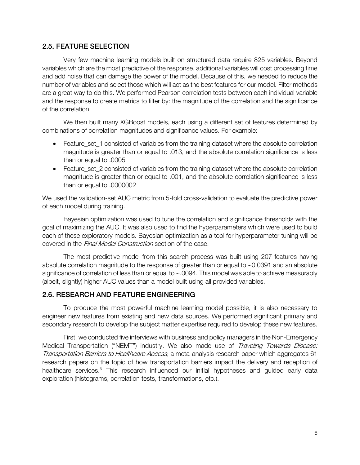### **2.5. FEATURE SELECTION** 2.5. FEATURE SELECTION

Very few machine learning models built on structured data require 825 variables. Beyond variables which are the most predictive of the response, additional variables will cost processing time and add noise that can damage the power of the model. Because of this, we needed to reduce the number of variables and select those which will act as the best features for our model. Filter methods are a great way to do this. We performed Pearson correlation tests between each individual variable and the response to create metrics to filter by: the magnitude of the correlation and the significance of the correlation.

We then built many XGBoost models, each using a different set of features determined by combinations of correlation magnitudes and significance values. For example:

- Feature set 1 consisted of variables from the training dataset where the absolute correlation magnitude is greater than or equal to .013, and the absolute correlation significance is less than or equal to .0005
- Feature set 2 consisted of variables from the training dataset where the absolute correlation magnitude is greater than or equal to .001, and the absolute correlation significance is less than or equal to .0000002

We used the validation-set AUC metric from 5-fold cross-validation to evaluate the predictive power of each model during training.

Bayesian optimization was used to tune the correlation and significance thresholds with the goal of maximizing the AUC. It was also used to find the hyperparameters which were used to build each of these exploratory models. Bayesian optimization as a tool for hyperparameter tuning will be covered in the Final Model Construction section of the case.

The most predictive model from this search process was built using 207 features having absolute correlation magnitude to the response of greater than or equal to ~0.0391 and an absolute significance of correlation of less than or equal to ~.0094. This model was able to achieve measurably (albeit, slightly) higher AUC values than a model built using all provided variables.

#### 2.6. RESEARCH AND FEATURE ENGINEERING 2.6. RESEARCH AND FEATURE ENGINEERING

To produce the most powerful machine learning model possible, it is also necessary to engineer new features from existing and new data sources. We performed significant primary and secondary research to develop the subject matter expertise required to develop these new features.

First, we conducted five interviews with business and policy managers in the Non-Emergency Medical Transportation ("NEMT") industry. We also made use of Traveling Towards Disease: Transportation Barriers to Healthcare Access, a meta-analysis research paper which aggregates 61 research papers on the topic of how transportation barriers impact the delivery and reception of healthcare services.<sup>6</sup> This research influenced our initial hypotheses and guided early data exploration (histograms, correlation tests, transformations, etc.).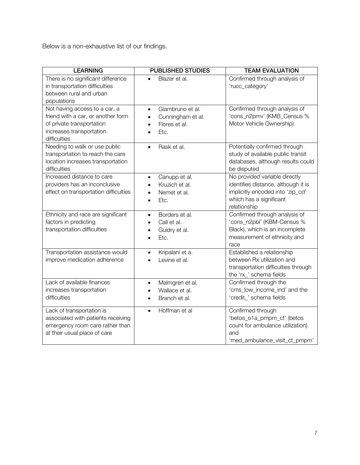Below is a non-exhaustive list of our findings.

| <b>LEARNING</b>                                                                                                                              | <b>PUBLISHED STUDIES</b>                                                                                           | <b>TEAM EVALUATION</b>                                                                                                                              |
|----------------------------------------------------------------------------------------------------------------------------------------------|--------------------------------------------------------------------------------------------------------------------|-----------------------------------------------------------------------------------------------------------------------------------------------------|
| There is no significant difference<br>in transportation difficulties<br>between rural and urban<br>populations                               | Blazer et al.                                                                                                      | Confirmed through analysis of<br>'rucc_category'                                                                                                    |
| Not having access to a car, a<br>friend with a car, or another form<br>of private transportation<br>increases transportation<br>difficulties | Giambruno et al.<br>$\bullet$<br>Cunningham et al.<br>$\bullet$<br>Flores et al.<br>$\bullet$<br>Etc.<br>$\bullet$ | Confirmed through analysis of<br>'cons_n2pmv' (KMB_Census %<br>Motor Vehicle Ownership)                                                             |
| Needing to walk or use public<br>transportation to reach the care<br>location increases transportation<br>difficulties                       | Rask et al.<br>$\bullet$                                                                                           | Potentially confirmed through<br>study of available public transit<br>databases, although results could<br>be disputed                              |
| Increased distance to care<br>providers has an inconclusive<br>effect on transportation difficulties                                         | Canupp et al.<br>$\bullet$<br>Kruzich et al.<br>Nemet et al.<br>Etc.<br>$\bullet$                                  | No provided variable directly<br>identifies distance, although it is<br>implicitly encoded into 'zip_cd'<br>which has a significant<br>relationship |
| Ethnicity and race are significant<br>factors in predicting<br>transportation difficulties                                                   | Borders et al.<br>$\bullet$<br>Call et al.<br>$\bullet$<br>Guidry et al.<br>$\bullet$<br>Etc.<br>$\bullet$         | Confirmed through analysis of<br>'cons_n2pbl' (KBM-Census %<br>Black), which is an incomplete<br>measurement of ethnicity and<br>race               |
| Transportation assistance would<br>improve medication adherence                                                                              | Kripalani et a.<br>$\bullet$<br>Levine et al.                                                                      | Established a relationship<br>between Rx utilization and<br>transportation difficulties through<br>the 'rx_' schema fields                          |
| Lack of available finances<br>increases transportation<br>difficulties                                                                       | Malmgren et al.<br>$\bullet$<br>Wallace et al.<br>$\bullet$<br>Branch et al.<br>$\bullet$                          | Confirmed through the<br>'cms_low_income_ind' and the<br>'credit_' schema fields                                                                    |
| Lack of transportation is<br>associated with patients receiving<br>emergency room care rather than<br>at their usual place of care           | Hoffman et al<br>$\bullet$                                                                                         | Confirmed through<br>'betos_o1a_pmpm_ct' (betos<br>count for ambulance utilization)<br>and<br>'med_ambulance_visit_ct_pmpm'                         |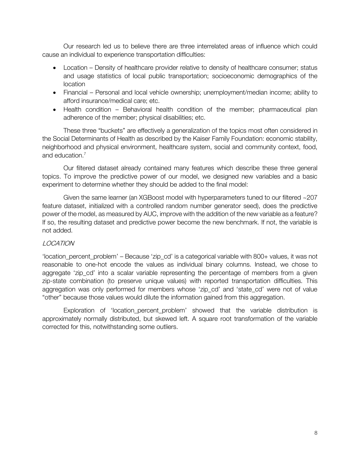Our research led us to believe there are three interrelated areas of influence which could cause an individual to experience transportation difficulties:

- Location Density of healthcare provider relative to density of healthcare consumer; status and usage statistics of local public transportation; socioeconomic demographics of the location
- Financial Personal and local vehicle ownership; unemployment/median income; ability to afford insurance/medical care; etc.
- Health condition Behavioral health condition of the member; pharmaceutical plan adherence of the member; physical disabilities; etc.

These three "buckets" are effectively a generalization of the topics most often considered in the Social Determinants of Health as described by the Kaiser Family Foundation: economic stability, neighborhood and physical environment, healthcare system, social and community context, food, and education. 7

Our filtered dataset already contained many features which describe these three general topics. To improve the predictive power of our model, we designed new variables and a basic experiment to determine whether they should be added to the final model:

Given the same learner (an XGBoost model with hyperparameters tuned to our filtered ~207 feature dataset, initialized with a controlled random number generator seed), does the predictive power of the model, as measured by AUC, improve with the addition of the new variable as a feature? If so, the resulting dataset and predictive power become the new benchmark. If not, the variable is not added.

# LOCATION

'location\_percent\_problem' – Because 'zip\_cd' is a categorical variable with 800+ values, it was not reasonable to one-hot encode the values as individual binary columns. Instead, we chose to aggregate 'zip\_cd' into a scalar variable representing the percentage of members from a given zip-state combination (to preserve unique values) with reported transportation difficulties. This aggregation was only performed for members whose 'zip\_cd' and 'state\_cd' were not of value "other" because those values would dilute the information gained from this aggregation.

Exploration of 'location percent problem' showed that the variable distribution is approximately normally distributed, but skewed left. A square root transformation of the variable corrected for this, notwithstanding some outliers.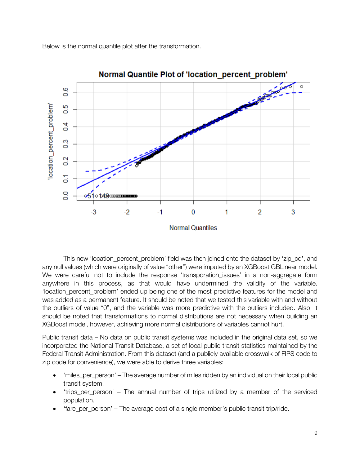Below is the normal quantile plot after the transformation.



Normal Quantile Plot of 'location percent problem'

This new 'location\_percent\_problem' field was then joined onto the dataset by 'zip\_cd', and any null values (which were originally of value "other") were imputed by an XGBoost GBLinear model. We were careful not to include the response 'transporation issues' in a non-aggregate form anywhere in this process, as that would have undermined the validity of the variable. 'location percent problem' ended up being one of the most predictive features for the model and was added as a permanent feature. It should be noted that we tested this variable with and without the outliers of value "0", and the variable was more predictive with the outliers included. Also, it should be noted that transformations to normal distributions are not necessary when building an XGBoost model, however, achieving more normal distributions of variables cannot hurt.

Public transit data – No data on public transit systems was included in the original data set, so we incorporated the National Transit Database, a set of local public transit statistics maintained by the Federal Transit Administration. From this dataset (and a publicly available crosswalk of FIPS code to zip code for convenience), we were able to derive three variables:

- 'miles\_per\_person' The average number of miles ridden by an individual on their local public transit system.
- 'trips\_per\_person' The annual number of trips utilized by a member of the serviced population.
- 'fare\_per\_person' The average cost of a single member's public transit trip/ride.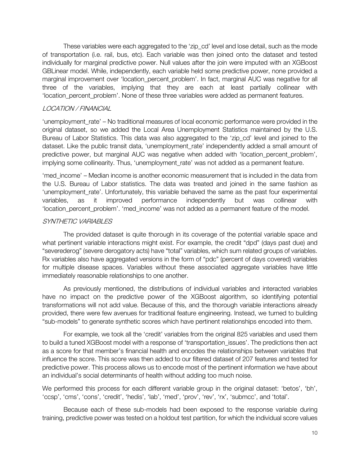These variables were each aggregated to the 'zip\_cd' level and lose detail, such as the mode of transportation (i.e. rail, bus, etc). Each variable was then joined onto the dataset and tested individually for marginal predictive power. Null values after the join were imputed with an XGBoost GBLinear model. While, independently, each variable held some predictive power, none provided a marginal improvement over 'location percent problem'. In fact, marginal AUC was negative for all three of the variables, implying that they are each at least partially collinear with 'location\_percent\_problem'. None of these three variables were added as permanent features.

## LOCATION / FINANCIAL

'unemployment\_rate' – No traditional measures of local economic performance were provided in the original dataset, so we added the Local Area Unemployment Statistics maintained by the U.S. Bureau of Labor Statistics. This data was also aggregated to the 'zip\_cd' level and joined to the dataset. Like the public transit data, 'unemployment rate' independently added a small amount of predictive power, but marginal AUC was negative when added with 'location\_percent\_problem', implying some collinearity. Thus, 'unemployment\_rate' was not added as a permanent feature.

'med\_income' – Median income is another economic measurement that is included in the data from the U.S. Bureau of Labor statistics. The data was treated and joined in the same fashion as 'unemployment rate'. Unfortunately, this variable behaved the same as the past four experimental variables, as it improved performance independently but was collinear with 'location\_percent\_problem'. 'med\_income' was not added as a permanent feature of the model.

## SYNTHETIC VARIABI FS

The provided dataset is quite thorough in its coverage of the potential variable space and what pertinent variable interactions might exist. For example, the credit "dpd" (days past due) and "severederog" (severe derogatory acts) have "total" variables, which sum related groups of variables. Rx variables also have aggregated versions in the form of "pdc" (percent of days covered) variables for multiple disease spaces. Variables without these associated aggregate variables have little immediately reasonable relationships to one another.

As previously mentioned, the distributions of individual variables and interacted variables have no impact on the predictive power of the XGBoost algorithm, so identifying potential transformations will not add value. Because of this, and the thorough variable interactions already provided, there were few avenues for traditional feature engineering. Instead, we turned to building "sub-models" to generate synthetic scores which have pertinent relationships encoded into them.

For example, we took all the 'credit' variables from the original 825 variables and used them to build a tuned XGBoost model with a response of 'transportation issues'. The predictions then act as a score for that member's financial health and encodes the relationships between variables that influence the score. This score was then added to our filtered dataset of 207 features and tested for predictive power. This process allows us to encode most of the pertinent information we have about an individual's social determinants of health without adding too much noise.

We performed this process for each different variable group in the original dataset: 'betos', 'bh', 'ccsp', 'cms', 'cons', 'credit', 'hedis', 'lab', 'med', 'prov', 'rev', 'rx', 'submcc', and 'total'.

Because each of these sub-models had been exposed to the response variable during training, predictive power was tested on a holdout test partition, for which the individual score values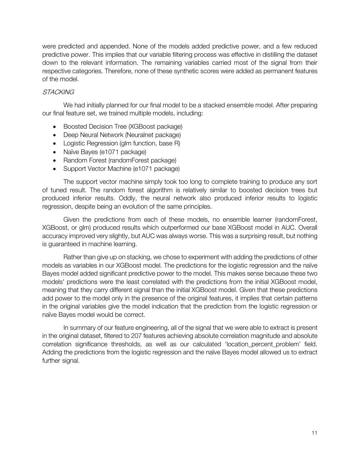were predicted and appended. None of the models added predictive power, and a few reduced predictive power. This implies that our variable filtering process was effective in distilling the dataset down to the relevant information. The remaining variables carried most of the signal from their respective categories. Therefore, none of these synthetic scores were added as permanent features of the model.

# **STACKING**

We had initially planned for our final model to be a stacked ensemble model. After preparing our final feature set, we trained multiple models, including:

- Boosted Decision Tree (XGBoost package)
- Deep Neural Network (Neuralnet package)
- Logistic Regression (glm function, base R)
- Naïve Bayes (e1071 package)
- Random Forest (randomForest package)
- Support Vector Machine (e1071 package)

The support vector machine simply took too long to complete training to produce any sort of tuned result. The random forest algorithm is relatively similar to boosted decision trees but produced inferior results. Oddly, the neural network also produced inferior results to logistic regression, despite being an evolution of the same principles.

Given the predictions from each of these models, no ensemble learner (randomForest, XGBoost, or glm) produced results which outperformed our base XGBoost model in AUC. Overall accuracy improved very slightly, but AUC was always worse. This was a surprising result, but nothing is guaranteed in machine learning.

Rather than give up on stacking, we chose to experiment with adding the predictions of other models as variables in our XGBoost model. The predictions for the logistic regression and the naïve Bayes model added significant predictive power to the model. This makes sense because these two models' predictions were the least correlated with the predictions from the initial XGBoost model, meaning that they carry different signal than the initial XGBoost model. Given that these predictions add power to the model only in the presence of the original features, it implies that certain patterns in the original variables give the model indication that the prediction from the logistic regression or naïve Bayes model would be correct.

In summary of our feature engineering, all of the signal that we were able to extract is present in the original dataset, filtered to 207 features achieving absolute correlation magnitude and absolute correlation significance thresholds, as well as our calculated 'location\_percent\_problem' field. Adding the predictions from the logistic regression and the naïve Bayes model allowed us to extract further signal.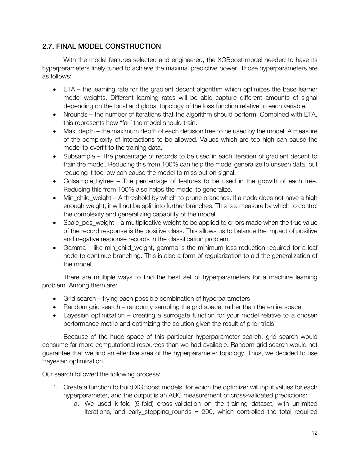### 2.7. FINAL MODEL CONSTRUCTION 2.7. FINAL MODEL CONSTRUCTION

With the model features selected and engineered, the XGBoost model needed to have its hyperparameters finely tuned to achieve the maximal predictive power. Those hyperparameters are as follows:

- ETA the learning rate for the gradient decent algorithm which optimizes the base learner model weights. Different learning rates will be able capture different amounts of signal depending on the local and global topology of the loss function relative to each variable.
- Nrounds the number of iterations that the algorithm should perform. Combined with ETA, this represents how "far" the model should train.
- Max depth the maximum depth of each decision tree to be used by the model. A measure of the complexity of interactions to be allowed. Values which are too high can cause the model to overfit to the training data.
- Subsample The percentage of records to be used in each iteration of gradient decent to train the model. Reducing this from 100% can help the model generalize to unseen data, but reducing it too low can cause the model to miss out on signal.
- Colsample\_bytree The percentage of features to be used in the growth of each tree. Reducing this from 100% also helps the model to generalize.
- Min child weight A threshold by which to prune branches. If a node does not have a high enough weight, it will not be split into further branches. This is a measure by which to control the complexity and generalizing capability of the model.
- Scale pos weight a multiplicative weight to be applied to errors made when the true value of the record response is the positive class. This allows us to balance the impact of positive and negative response records in the classification problem.
- Gamma like min\_child\_weight, gamma is the minimum loss reduction required for a leaf node to continue branching. This is also a form of regularization to aid the generalization of the model.

There are multiple ways to find the best set of hyperparameters for a machine learning problem. Among them are:

- Grid search trying each possible combination of hyperparameters
- Random grid search randomly sampling the grid space, rather than the entire space
- Bayesian optimization creating a surrogate function for your model relative to a chosen performance metric and optimizing the solution given the result of prior trials.

Because of the huge space of this particular hyperparameter search, grid search would consume far more computational resources than we had available. Random grid search would not guarantee that we find an effective area of the hyperparameter topology. Thus, we decided to use Bayesian optimization.

Our search followed the following process:

- 1. Create a function to build XGBoost models, for which the optimizer will input values for each hyperparameter, and the output is an AUC measurement of cross-validated predictions:
	- a. We used k-fold (5-fold) cross-validation on the training dataset, with unlimited iterations, and early\_stopping\_rounds = 200, which controlled the total required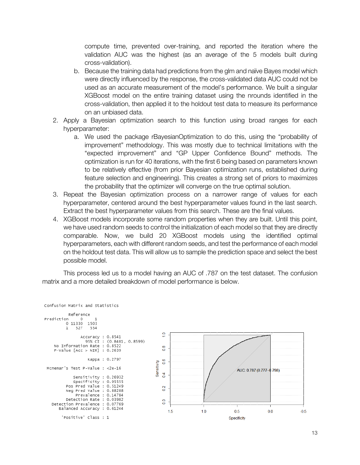compute time, prevented over-training, and reported the iteration where the validation AUC was the highest (as an average of the 5 models built during cross-validation).

- b. Because the training data had predictions from the glm and naïve Bayes model which were directly influenced by the response, the cross-validated data AUC could not be used as an accurate measurement of the model's performance. We built a singular XGBoost model on the entire training dataset using the nrounds identified in the cross-validation, then applied it to the holdout test data to measure its performance on an unbiased data.
- 2. Apply a Bayesian optimization search to this function using broad ranges for each hyperparameter:
	- a. We used the package rBayesianOptimization to do this, using the "probability of improvement" methodology. This was mostly due to technical limitations with the "expected improvement" and "GP Upper Confidence Bound" methods. The optimization is run for 40 iterations, with the first 6 being based on parameters known to be relatively effective (from prior Bayesian optimization runs, established during feature selection and engineering). This creates a strong set of priors to maximizes the probability that the optimizer will converge on the true optimal solution.
- 3. Repeat the Bayesian optimization process on a narrower range of values for each hyperparameter, centered around the best hyperparameter values found in the last search. Extract the best hyperparameter values from this search. These are the final values.
- 4. XGBoost models incorporate some random properties when they are built. Until this point, we have used random seeds to control the initialization of each model so that they are directly comparable. Now, we build 20 XGBoost models using the identified optimal hyperparameters, each with different random seeds, and test the performance of each model on the holdout test data. This will allow us to sample the prediction space and select the best possible model.

This process led us to a model having an AUC of .787 on the test dataset. The confusion matrix and a more detailed breakdown of model performance is below.

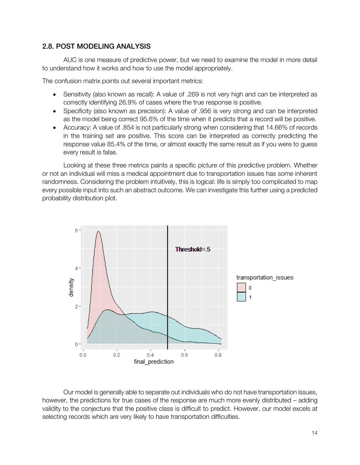### **2.8. POST MODELING ANALYSIS** 2.8. POST MODELING ANALYSIS

AUC is one measure of predictive power, but we need to examine the model in more detail to understand how it works and how to use the model appropriately.

The confusion matrix points out several important metrics:

- Sensitivity (also known as recall): A value of .269 is not very high and can be interpreted as correctly identifying 26.9% of cases where the true response is positive.
- Specificity (also known as precision): A value of .956 is very strong and can be interpreted as the model being correct 95.6% of the time when it predicts that a record will be positive.
- Accuracy: A value of .854 is not particularly strong when considering that 14.66% of records in the training set are positive. This score can be interpreted as correctly predicting the response value 85.4% of the time, or almost exactly the same result as if you were to guess every result is false.

Looking at these three metrics paints a specific picture of this predictive problem. Whether or not an individual will miss a medical appointment due to transportation issues has some inherent randomness. Considering the problem intuitively, this is logical: life is simply too complicated to map every possible input into such an abstract outcome. We can investigate this further using a predicted probability distribution plot.



Our model is generally able to separate out individuals who do not have transportation issues, however, the predictions for true cases of the response are much more evenly distributed – adding validity to the conjecture that the positive class is difficult to predict. However, our model excels at selecting records which are very likely to have transportation difficulties.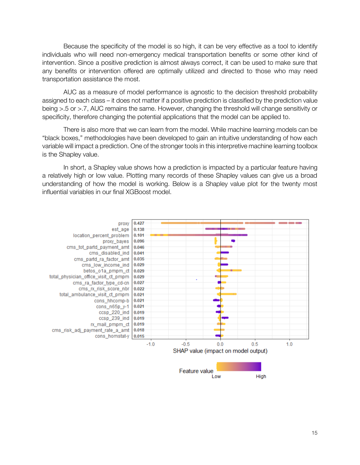Because the specificity of the model is so high, it can be very effective as a tool to identify individuals who will need non-emergency medical transportation benefits or some other kind of intervention. Since a positive prediction is almost always correct, it can be used to make sure that any benefits or intervention offered are optimally utilized and directed to those who may need transportation assistance the most.

AUC as a measure of model performance is agnostic to the decision threshold probability assigned to each class – it does not matter if a positive prediction is classified by the prediction value being >.5 or >.7, AUC remains the same. However, changing the threshold will change sensitivity or specificity, therefore changing the potential applications that the model can be applied to.

There is also more that we can learn from the model. While machine learning models can be "black boxes," methodologies have been developed to gain an intuitive understanding of how each variable will impact a prediction. One of the stronger tools in this interpretive machine learning toolbox is the Shapley value.

In short, a Shapley value shows how a prediction is impacted by a particular feature having a relatively high or low value. Plotting many records of these Shapley values can give us a broad understanding of how the model is working. Below is a Shapley value plot for the twenty most influential variables in our final XGBoost model.

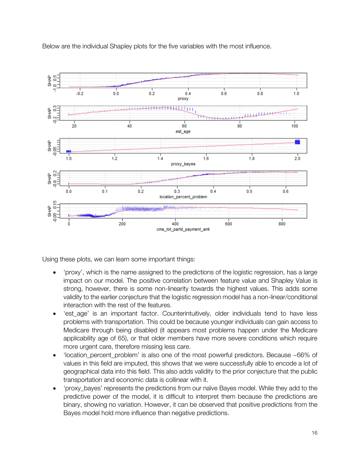Below are the individual Shapley plots for the five variables with the most influence.



Using these plots, we can learn some important things:

- 'proxy', which is the name assigned to the predictions of the logistic regression, has a large impact on our model. The positive correlation between feature value and Shapley Value is strong, however, there is some non-linearity towards the highest values. This adds some validity to the earlier conjecture that the logistic regression model has a non-linear/conditional interaction with the rest of the features.
- 'est\_age' is an important factor. Counterintuitively, older individuals tend to have less problems with transportation. This could be because younger individuals can gain access to Medicare through being disabled (it appears most problems happen under the Medicare applicability age of 65), or that older members have more severe conditions which require more urgent care, therefore missing less care.
- 'location\_percent\_problem' is also one of the most powerful predictors. Because ~66% of values in this field are imputed, this shows that we were successfully able to encode a lot of geographical data into this field. This also adds validity to the prior conjecture that the public transportation and economic data is collinear with it.
- 'proxy\_bayes' represents the predictions from our naïve Bayes model. While they add to the predictive power of the model, it is difficult to interpret them because the predictions are binary, showing no variation. However, it can be observed that positive predictions from the Bayes model hold more influence than negative predictions.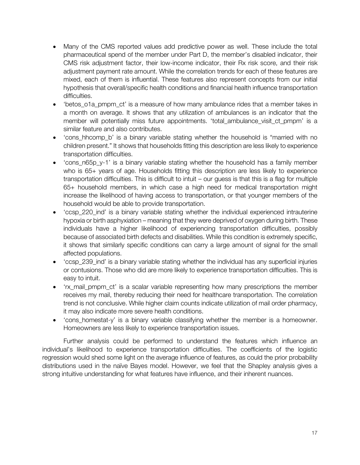- Many of the CMS reported values add predictive power as well. These include the total pharmaceutical spend of the member under Part D, the member's disabled indicator, their CMS risk adjustment factor, their low-income indicator, their Rx risk score, and their risk adjustment payment rate amount. While the correlation trends for each of these features are mixed, each of them is influential. These features also represent concepts from our initial hypothesis that overall/specific health conditions and financial health influence transportation difficulties.
- 'betos o1a pmpm ct' is a measure of how many ambulance rides that a member takes in a month on average. It shows that any utilization of ambulances is an indicator that the member will potentially miss future appointments. 'total\_ambulance\_visit\_ct\_pmpm' is a similar feature and also contributes.
- 'cons hhcomp b' is a binary variable stating whether the household is "married with no children present." It shows that households fitting this description are less likely to experience transportation difficulties.
- 'cons  $n65p$  y-1' is a binary variable stating whether the household has a family member who is 65+ years of age. Households fitting this description are less likely to experience transportation difficulties. This is difficult to intuit – our guess is that this is a flag for multiple 65+ household members, in which case a high need for medical transportation might increase the likelihood of having access to transportation, or that younger members of the household would be able to provide transportation.
- 'ccsp 220 ind' is a binary variable stating whether the individual experienced intrauterine hypoxia or birth asphyxiation – meaning that they were deprived of oxygen during birth. These individuals have a higher likelihood of experiencing transportation difficulties, possibly because of associated birth defects and disabilities. While this condition is extremely specific, it shows that similarly specific conditions can carry a large amount of signal for the small affected populations.
- 'ccsp\_239\_ind' is a binary variable stating whether the individual has any superficial injuries or contusions. Those who did are more likely to experience transportation difficulties. This is easy to intuit.
- 'rx mail pmpm ct' is a scalar variable representing how many prescriptions the member receives my mail, thereby reducing their need for healthcare transportation. The correlation trend is not conclusive. While higher claim counts indicate utilization of mail order pharmacy, it may also indicate more severe health conditions.
- 'cons homestat-y' is a binary variable classifying whether the member is a homeowner. Homeowners are less likely to experience transportation issues.

Further analysis could be performed to understand the features which influence an individual's likelihood to experience transportation difficulties. The coefficients of the logistic regression would shed some light on the average influence of features, as could the prior probability distributions used in the naïve Bayes model. However, we feel that the Shapley analysis gives a strong intuitive understanding for what features have influence, and their inherent nuances.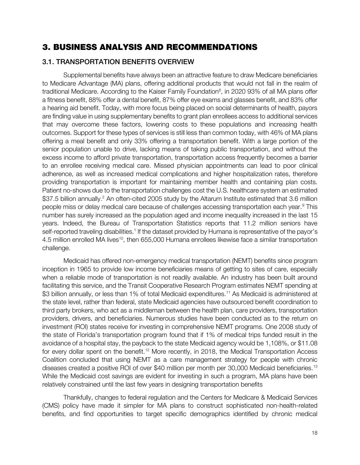# 3. BUSINESS ANALYSIS AND RECOMMENDATIONS

# 3.1. TRANSPORTATION BENEFITS OVERVIEW

Supplemental benefits have always been an attractive feature to draw Medicare beneficiaries to Medicare Advantage (MA) plans, offering additional products that would not fall in the realm of traditional Medicare. According to the Kaiser Family Foundation<sup>8</sup>, in 2020 93% of all MA plans offer a fitness benefit, 88% offer a dental benefit, 87% offer eye exams and glasses benefit, and 83% offer a hearing aid benefit. Today, with more focus being placed on social determinants of health, payors are finding value in using supplementary benefits to grant plan enrollees access to additional services that may overcome these factors, lowering costs to these populations and increasing health outcomes. Support for these types of services is still less than common today, with 46% of MA plans offering a meal benefit and only 33% offering a transportation benefit. With a large portion of the senior population unable to drive, lacking means of taking public transportation, and without the excess income to afford private transportation, transportation access frequently becomes a barrier to an enrollee receiving medical care. Missed physician appointments can lead to poor clinical adherence, as well as increased medical complications and higher hospitalization rates, therefore providing transportation is important for maintaining member health and containing plan costs. Patient no-shows due to the transportation challenges cost the U.S. healthcare system an estimated \$37.5 billion annually.<sup>2</sup> An often-cited 2005 study by the Altarum Institute estimated that 3.6 million people miss or delay medical care because of challenges accessing transportation each year.<sup>9</sup> This number has surely increased as the population aged and income inequality increased in the last 15 years. Indeed, the Bureau of Transportation Statistics reports that 11.2 million seniors have self-reported traveling disabilities.<sup>1</sup> If the dataset provided by Humana is representative of the payor's 4.5 million enrolled MA lives<sup>10</sup>, then 655,000 Humana enrollees likewise face a similar transportation challenge.

Medicaid has offered non-emergency medical transportation (NEMT) benefits since program inception in 1965 to provide low income beneficiaries means of getting to sites of care, especially when a reliable mode of transportation is not readily available. An industry has been built around facilitating this service, and the Transit Cooperative Research Program estimates NEMT spending at \$3 billion annually, or less than 1% of total Medicaid expenditures.<sup>11</sup> As Medicaid is administered at the state level, rather than federal, state Medicaid agencies have outsourced benefit coordination to third party brokers, who act as a middleman between the health plan, care providers, transportation providers, drivers, and beneficiaries. Numerous studies have been conducted as to the return on investment (ROI) states receive for investing in comprehensive NEMT programs. One 2008 study of the state of Florida's transportation program found that if 1% of medical trips funded result in the avoidance of a hospital stay, the payback to the state Medicaid agency would be 1,108%, or \$11.08 for every dollar spent on the benefit.<sup>12</sup> More recently, in 2018, the Medical Transportation Access Coalition concluded that using NEMT as a care management strategy for people with chronic diseases created a positive ROI of over \$40 million per month per 30,000 Medicaid beneficiaries.<sup>13</sup> While the Medicaid cost savings are evident for investing in such a program, MA plans have been relatively constrained until the last few years in designing transportation benefits

Thankfully, changes to federal regulation and the Centers for Medicare & Medicaid Services (CMS) policy have made it simpler for MA plans to construct sophisticated non-health-related benefits, and find opportunities to target specific demographics identified by chronic medical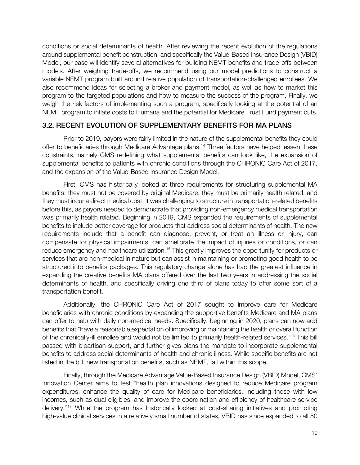conditions or social determinants of health. After reviewing the recent evolution of the regulations around supplemental benefit construction, and specifically the Value-Based Insurance Design (VBID) Model, our case will identify several alternatives for building NEMT benefits and trade-offs between models. After weighing trade-offs, we recommend using our model predictions to construct a variable NEMT program built around relative population of transportation-challenged enrollees. We also recommend ideas for selecting a broker and payment model, as well as how to market this program to the targeted populations and how to measure the success of the program. Finally, we weigh the risk factors of implementing such a program, specifically looking at the potential of an NEMT program to inflate costs to Humana and the potential for Medicare Trust Fund payment cuts.

#### 3.2. RECENT EVOLUTION OF SUPPLEMENTARY BENEFITS FOR MA PLANS 3.2. RECENT EVOLUTION OF SUPPLEMENTARY BENEFITS FOR MA PLANS

Prior to 2019, payors were fairly limited in the nature of the supplemental benefits they could offer to beneficiaries through Medicare Advantage plans.<sup>14</sup> Three factors have helped lessen these constraints, namely CMS redefining what supplemental benefits can look like, the expansion of supplemental benefits to patients with chronic conditions through the CHRONIC Care Act of 2017, and the expansion of the Value-Based Insurance Design Model.

First, CMS has historically looked at three requirements for structuring supplemental MA benefits: they must not be covered by original Medicare, they must be primarily health related, and they must incur a direct medical cost. It was challenging to structure in transportation-related benefits before this, as payors needed to demonstrate that providing non-emergency medical transportation was primarily health related. Beginning in 2019, CMS expanded the requirements of supplemental benefits to include better coverage for products that address social determinants of health. The new requirements include that a benefit can diagnose, prevent, or treat an illness or injury, can compensate for physical impairments, can ameliorate the impact of injuries or conditions, or can reduce emergency and healthcare utilization.<sup>15</sup> This greatly improves the opportunity for products or services that are non-medical in nature but can assist in maintaining or promoting good health to be structured into benefits packages. This regulatory change alone has had the greatest influence in expanding the creative benefits MA plans offered over the last two years in addressing the social determinants of health, and specifically driving one third of plans today to offer some sort of a transportation benefit.

Additionally, the CHRONIC Care Act of 2017 sought to improve care for Medicare beneficiaries with chronic conditions by expanding the supportive benefits Medicare and MA plans can offer to help with daily non-medical needs. Specifically, beginning in 2020, plans can now add benefits that "have a reasonable expectation of improving or maintaining the health or overall function of the chronically-ill enrollee and would not be limited to primarily health-related services."<sup>16</sup> This bill passed with bipartisan support, and further gives plans the mandate to incorporate supplemental benefits to address social determinants of health and chronic illness. While specific benefits are not listed in the bill, new transportation benefits, such as NEMT, fall within this scope.

Finally, through the Medicare Advantage Value-Based Insurance Design (VBID) Model, CMS' Innovation Center aims to test "health plan innovations designed to reduce Medicare program expenditures, enhance the quality of care for Medicare beneficiaries, including those with low incomes, such as dual-eligibles, and improve the coordination and efficiency of healthcare service delivery."<sup>17</sup> While the program has historically looked at cost-sharing initiatives and promoting high-value clinical services in a relatively small number of states, VBID has since expanded to all 50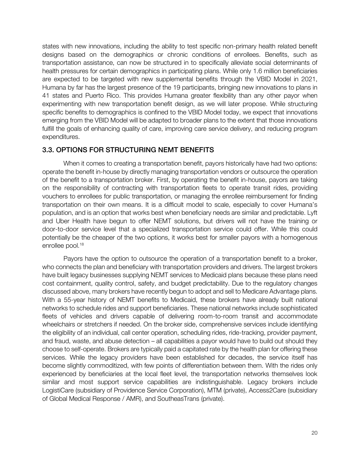states with new innovations, including the ability to test specific non-primary health related benefit designs based on the demographics or chronic conditions of enrollees. Benefits, such as transportation assistance, can now be structured in to specifically alleviate social determinants of health pressures for certain demographics in participating plans. While only 1.6 million beneficiaries are expected to be targeted with new supplemental benefits through the VBID Model in 2021, Humana by far has the largest presence of the 19 participants, bringing new innovations to plans in 41 states and Puerto Rico. This provides Humana greater flexibility than any other payor when experimenting with new transportation benefit design, as we will later propose. While structuring specific benefits to demographics is confined to the VBID Model today, we expect that innovations emerging from the VBID Model will be adapted to broader plans to the extent that those innovations fulfill the goals of enhancing quality of care, improving care service delivery, and reducing program expenditures.

#### 3.3. OPTIONS FOR STRUCTURING NEMT BENEFITS 3.3. OPTIONS FOR STRUCTURE NEMT BENEFITS

When it comes to creating a transportation benefit, payors historically have had two options: operate the benefit in-house by directly managing transportation vendors or outsource the operation of the benefit to a transportation broker. First, by operating the benefit in-house, payors are taking on the responsibility of contracting with transportation fleets to operate transit rides, providing vouchers to enrollees for public transportation, or managing the enrollee reimbursement for finding transportation on their own means. It is a difficult model to scale, especially to cover Humana's population, and is an option that works best when beneficiary needs are similar and predictable. Lyft and Uber Health have begun to offer NEMT solutions, but drivers will not have the training or door-to-door service level that a specialized transportation service could offer. While this could potentially be the cheaper of the two options, it works best for smaller payors with a homogenous enrollee pool.<sup>18</sup>

Payors have the option to outsource the operation of a transportation benefit to a broker, who connects the plan and beneficiary with transportation providers and drivers. The largest brokers have built legacy businesses supplying NEMT services to Medicaid plans because these plans need cost containment, quality control, safety, and budget predictability. Due to the regulatory changes discussed above, many brokers have recently begun to adopt and sell to Medicare Advantage plans. With a 55-year history of NEMT benefits to Medicaid, these brokers have already built national networks to schedule rides and support beneficiaries. These national networks include sophisticated fleets of vehicles and drivers capable of delivering room-to-room transit and accommodate wheelchairs or stretchers if needed. On the broker side, comprehensive services include identifying the eligibility of an individual, call center operation, scheduling rides, ride-tracking, provider payment, and fraud, waste, and abuse detection – all capabilities a payor would have to build out should they choose to self-operate. Brokers are typically paid a capitated rate by the health plan for offering these services. While the legacy providers have been established for decades, the service itself has become slightly commoditized, with few points of differentiation between them. With the rides only experienced by beneficiaries at the local fleet level, the transportation networks themselves look similar and most support service capabilities are indistinguishable. Legacy brokers include LogistiCare (subsidiary of Providence Service Corporation), MTM (private), Access2Care (subsidiary of Global Medical Response / AMR), and SoutheasTrans (private).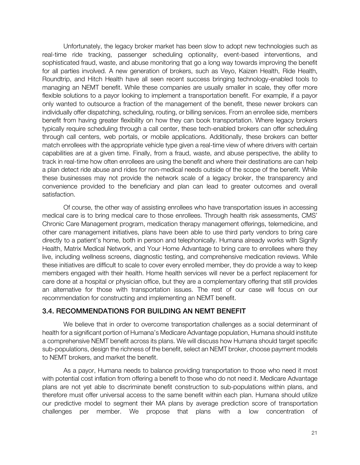Unfortunately, the legacy broker market has been slow to adopt new technologies such as real-time ride tracking, passenger scheduling optionality, event-based interventions, and sophisticated fraud, waste, and abuse monitoring that go a long way towards improving the benefit for all parties involved. A new generation of brokers, such as Veyo, Kaizen Health, Ride Health, Roundtrip, and Hitch Health have all seen recent success bringing technology-enabled tools to managing an NEMT benefit. While these companies are usually smaller in scale, they offer more flexible solutions to a payor looking to implement a transportation benefit. For example, if a payor only wanted to outsource a fraction of the management of the benefit, these newer brokers can individually offer dispatching, scheduling, routing, or billing services. From an enrollee side, members benefit from having greater flexibility on how they can book transportation. Where legacy brokers typically require scheduling through a call center, these tech-enabled brokers can offer scheduling through call centers, web portals, or mobile applications. Additionally, these brokers can better match enrollees with the appropriate vehicle type given a real-time view of where drivers with certain capabilities are at a given time. Finally, from a fraud, waste, and abuse perspective, the ability to track in real-time how often enrollees are using the benefit and where their destinations are can help a plan detect ride abuse and rides for non-medical needs outside of the scope of the benefit. While these businesses may not provide the network scale of a legacy broker, the transparency and convenience provided to the beneficiary and plan can lead to greater outcomes and overall satisfaction.

Of course, the other way of assisting enrollees who have transportation issues in accessing medical care is to bring medical care to those enrollees. Through health risk assessments, CMS' Chronic Care Management program, medication therapy management offerings, telemedicine, and other care management initiatives, plans have been able to use third party vendors to bring care directly to a patient's home, both in person and telephonically. Humana already works with Signify Health, Matrix Medical Network, and Your Home Advantage to bring care to enrollees where they live, including wellness screens, diagnostic testing, and comprehensive medication reviews. While these initiatives are difficult to scale to cover every enrolled member, they do provide a way to keep members engaged with their health. Home health services will never be a perfect replacement for care done at a hospital or physician office, but they are a complementary offering that still provides an alternative for those with transportation issues. The rest of our case will focus on our recommendation for constructing and implementing an NEMT benefit.

### 3.4. RECOMMENDATIONS FOR BUILDING AN NEMT BENEFIT 3.4. RECOMMENDATIONS FOR BUILDING AN NEMT BENEFIT

We believe that in order to overcome transportation challenges as a social determinant of health for a significant portion of Humana's Medicare Advantage population, Humana should institute a comprehensive NEMT benefit across its plans. We will discuss how Humana should target specific sub-populations, design the richness of the benefit, select an NEMT broker, choose payment models to NEMT brokers, and market the benefit.

As a payor, Humana needs to balance providing transportation to those who need it most with potential cost inflation from offering a benefit to those who do not need it. Medicare Advantage plans are not yet able to discriminate benefit construction to sub-populations within plans, and therefore must offer universal access to the same benefit within each plan. Humana should utilize our predictive model to segment their MA plans by average prediction score of transportation challenges per member. We propose that plans with a low concentration of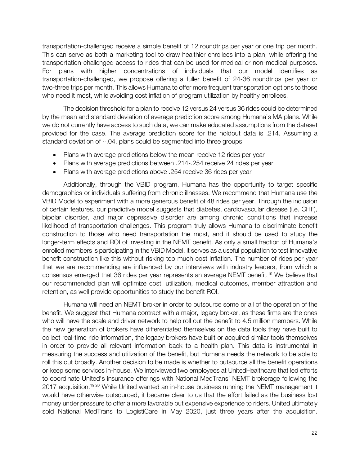transportation-challenged receive a simple benefit of 12 roundtrips per year or one trip per month. This can serve as both a marketing tool to draw healthier enrollees into a plan, while offering the transportation-challenged access to rides that can be used for medical or non-medical purposes. For plans with higher concentrations of individuals that our model identifies as transportation-challenged, we propose offering a fuller benefit of 24-36 roundtrips per year or two-three trips per month. This allows Humana to offer more frequent transportation options to those who need it most, while avoiding cost inflation of program utilization by healthy enrollees.

The decision threshold for a plan to receive 12 versus 24 versus 36 rides could be determined by the mean and standard deviation of average prediction score among Humana's MA plans. While we do not currently have access to such data, we can make educated assumptions from the dataset provided for the case. The average prediction score for the holdout data is .214. Assuming a standard deviation of ~.04, plans could be segmented into three groups:

- Plans with average predictions below the mean receive 12 rides per year
- Plans with average predictions between .214-.254 receive 24 rides per year
- Plans with average predictions above .254 receive 36 rides per year

Additionally, through the VBID program, Humana has the opportunity to target specific demographics or individuals suffering from chronic illnesses. We recommend that Humana use the VBID Model to experiment with a more generous benefit of 48 rides per year. Through the inclusion of certain features, our predictive model suggests that diabetes, cardiovascular disease (i.e. CHF), bipolar disorder, and major depressive disorder are among chronic conditions that increase likelihood of transportation challenges. This program truly allows Humana to discriminate benefit construction to those who need transportation the most, and it should be used to study the longer-term effects and ROI of investing in the NEMT benefit. As only a small fraction of Humana's enrolled members is participating in the VBID Model, it serves as a useful population to test innovative benefit construction like this without risking too much cost inflation. The number of rides per year that we are recommending are influenced by our interviews with industry leaders, from which a consensus emerged that 36 rides per year represents an average NEMT benefit.<sup>19</sup> We believe that our recommended plan will optimize cost, utilization, medical outcomes, member attraction and retention, as well provide opportunities to study the benefit ROI.

Humana will need an NEMT broker in order to outsource some or all of the operation of the benefit. We suggest that Humana contract with a major, legacy broker, as these firms are the ones who will have the scale and driver network to help roll out the benefit to 4.5 million members. While the new generation of brokers have differentiated themselves on the data tools they have built to collect real-time ride information, the legacy brokers have built or acquired similar tools themselves in order to provide all relevant information back to a health plan. This data is instrumental in measuring the success and utilization of the benefit, but Humana needs the network to be able to roll this out broadly. Another decision to be made is whether to outsource all the benefit operations or keep some services in-house. We interviewed two employees at UnitedHealthcare that led efforts to coordinate United's insurance offerings with National MedTrans' NEMT brokerage following the 2017 acquisition.<sup>19,20</sup> While United wanted an in-house business running the NEMT management it would have otherwise outsourced, it became clear to us that the effort failed as the business lost money under pressure to offer a more favorable but expensive experience to riders. United ultimately sold National MedTrans to LogistiCare in May 2020, just three years after the acquisition.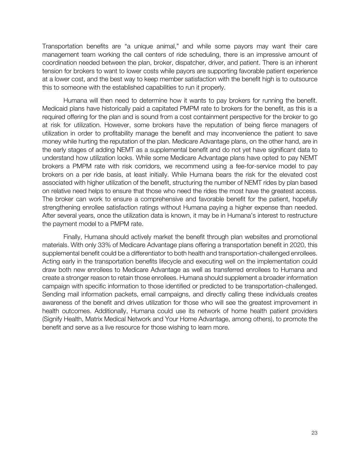Transportation benefits are "a unique animal," and while some payors may want their care management team working the call centers of ride scheduling, there is an impressive amount of coordination needed between the plan, broker, dispatcher, driver, and patient. There is an inherent tension for brokers to want to lower costs while payors are supporting favorable patient experience at a lower cost, and the best way to keep member satisfaction with the benefit high is to outsource this to someone with the established capabilities to run it properly.

Humana will then need to determine how it wants to pay brokers for running the benefit. Medicaid plans have historically paid a capitated PMPM rate to brokers for the benefit, as this is a required offering for the plan and is sound from a cost containment perspective for the broker to go at risk for utilization. However, some brokers have the reputation of being fierce managers of utilization in order to profitability manage the benefit and may inconvenience the patient to save money while hurting the reputation of the plan. Medicare Advantage plans, on the other hand, are in the early stages of adding NEMT as a supplemental benefit and do not yet have significant data to understand how utilization looks. While some Medicare Advantage plans have opted to pay NEMT brokers a PMPM rate with risk corridors, we recommend using a fee-for-service model to pay brokers on a per ride basis, at least initially. While Humana bears the risk for the elevated cost associated with higher utilization of the benefit, structuring the number of NEMT rides by plan based on relative need helps to ensure that those who need the rides the most have the greatest access. The broker can work to ensure a comprehensive and favorable benefit for the patient, hopefully strengthening enrollee satisfaction ratings without Humana paying a higher expense than needed. After several years, once the utilization data is known, it may be in Humana's interest to restructure the payment model to a PMPM rate.

Finally, Humana should actively market the benefit through plan websites and promotional materials. With only 33% of Medicare Advantage plans offering a transportation benefit in 2020, this supplemental benefit could be a differentiator to both health and transportation-challenged enrollees. Acting early in the transportation benefits lifecycle and executing well on the implementation could draw both new enrollees to Medicare Advantage as well as transferred enrollees to Humana and create a stronger reason to retain those enrollees. Humana should supplement a broader information campaign with specific information to those identified or predicted to be transportation-challenged. Sending mail information packets, email campaigns, and directly calling these individuals creates awareness of the benefit and drives utilization for those who will see the greatest improvement in health outcomes. Additionally, Humana could use its network of home health patient providers (Signify Health, Matrix Medical Network and Your Home Advantage, among others), to promote the benefit and serve as a live resource for those wishing to learn more.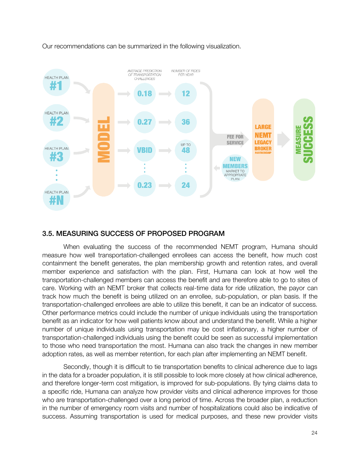

Our recommendations can be summarized in the following visualization.

#### 3.5. MEASURING SUCCESS OF PROPOSED PROGRAM 3.5. MEASURING SUCCESS OF PROPOSED PROGRAM

When evaluating the success of the recommended NEMT program, Humana should measure how well transportation-challenged enrollees can access the benefit, how much cost containment the benefit generates, the plan membership growth and retention rates, and overall member experience and satisfaction with the plan. First, Humana can look at how well the transportation-challenged members can access the benefit and are therefore able to go to sites of care. Working with an NEMT broker that collects real-time data for ride utilization, the payor can track how much the benefit is being utilized on an enrollee, sub-population, or plan basis. If the transportation-challenged enrollees are able to utilize this benefit, it can be an indicator of success. Other performance metrics could include the number of unique individuals using the transportation benefit as an indicator for how well patients know about and understand the benefit. While a higher number of unique individuals using transportation may be cost inflationary, a higher number of transportation-challenged individuals using the benefit could be seen as successful implementation to those who need transportation the most. Humana can also track the changes in new member adoption rates, as well as member retention, for each plan after implementing an NEMT benefit.

Secondly, though it is difficult to tie transportation benefits to clinical adherence due to lags in the data for a broader population, it is still possible to look more closely at how clinical adherence, and therefore longer-term cost mitigation, is improved for sub-populations. By tying claims data to a specific ride, Humana can analyze how provider visits and clinical adherence improves for those who are transportation-challenged over a long period of time. Across the broader plan, a reduction in the number of emergency room visits and number of hospitalizations could also be indicative of success. Assuming transportation is used for medical purposes, and these new provider visits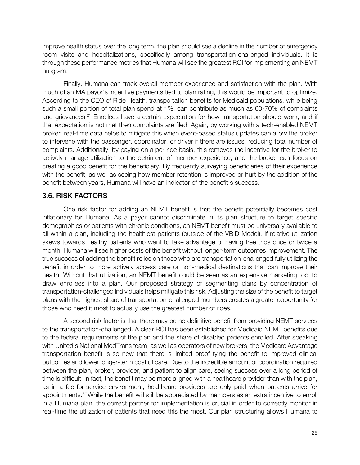improve health status over the long term, the plan should see a decline in the number of emergency room visits and hospitalizations, specifically among transportation-challenged individuals. It is through these performance metrics that Humana will see the greatest ROI for implementing an NEMT program.

Finally, Humana can track overall member experience and satisfaction with the plan. With much of an MA payor's incentive payments tied to plan rating, this would be important to optimize. According to the CEO of Ride Health, transportation benefits for Medicaid populations, while being such a small portion of total plan spend at 1%, can contribute as much as 60-70% of complaints and grievances.<sup>21</sup> Enrollees have a certain expectation for how transportation should work, and if that expectation is not met then complaints are filed. Again, by working with a tech-enabled NEMT broker, real-time data helps to mitigate this when event-based status updates can allow the broker to intervene with the passenger, coordinator, or driver if there are issues, reducing total number of complaints. Additionally, by paying on a per ride basis, this removes the incentive for the broker to actively manage utilization to the detriment of member experience, and the broker can focus on creating a good benefit for the beneficiary. By frequently surveying beneficiaries of their experience with the benefit, as well as seeing how member retention is improved or hurt by the addition of the benefit between years, Humana will have an indicator of the benefit's success.

### 3.6. RISK FACTORS 3.6. RISK FACTORS FACTORS

One risk factor for adding an NEMT benefit is that the benefit potentially becomes cost inflationary for Humana. As a payor cannot discriminate in its plan structure to target specific demographics or patients with chronic conditions, an NEMT benefit must be universally available to all within a plan, including the healthiest patients (outside of the VBID Model). If relative utilization skews towards healthy patients who want to take advantage of having free trips once or twice a month, Humana will see higher costs of the benefit without longer-term outcomes improvement. The true success of adding the benefit relies on those who are transportation-challenged fully utilizing the benefit in order to more actively access care or non-medical destinations that can improve their health. Without that utilization, an NEMT benefit could be seen as an expensive marketing tool to draw enrollees into a plan. Our proposed strategy of segmenting plans by concentration of transportation-challenged individuals helps mitigate this risk. Adjusting the size of the benefit to target plans with the highest share of transportation-challenged members creates a greater opportunity for those who need it most to actually use the greatest number of rides.

A second risk factor is that there may be no definitive benefit from providing NEMT services to the transportation-challenged. A clear ROI has been established for Medicaid NEMT benefits due to the federal requirements of the plan and the share of disabled patients enrolled. After speaking with United's National MedTrans team, as well as operators of new brokers, the Medicare Advantage transportation benefit is so new that there is limited proof tying the benefit to improved clinical outcomes and lower longer-term cost of care. Due to the incredible amount of coordination required between the plan, broker, provider, and patient to align care, seeing success over a long period of time is difficult. In fact, the benefit may be more aligned with a healthcare provider than with the plan, as in a fee-for-service environment, healthcare providers are only paid when patients arrive for appointments.<sup>22</sup>While the benefit will still be appreciated by members as an extra incentive to enroll in a Humana plan, the correct partner for implementation is crucial in order to correctly monitor in real-time the utilization of patients that need this the most. Our plan structuring allows Humana to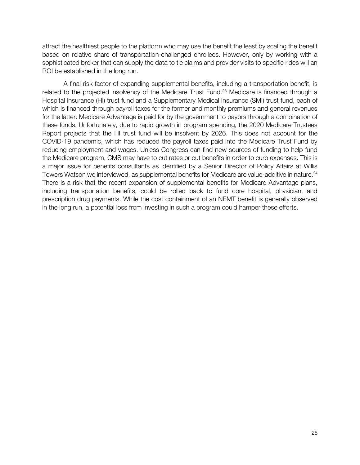attract the healthiest people to the platform who may use the benefit the least by scaling the benefit based on relative share of transportation-challenged enrollees. However, only by working with a sophisticated broker that can supply the data to tie claims and provider visits to specific rides will an ROI be established in the long run.

A final risk factor of expanding supplemental benefits, including a transportation benefit, is related to the projected insolvency of the Medicare Trust Fund.<sup>23</sup> Medicare is financed through a Hospital Insurance (HI) trust fund and a Supplementary Medical Insurance (SMI) trust fund, each of which is financed through payroll taxes for the former and monthly premiums and general revenues for the latter. Medicare Advantage is paid for by the government to payors through a combination of these funds. Unfortunately, due to rapid growth in program spending, the 2020 Medicare Trustees Report projects that the HI trust fund will be insolvent by 2026. This does not account for the COVID-19 pandemic, which has reduced the payroll taxes paid into the Medicare Trust Fund by reducing employment and wages. Unless Congress can find new sources of funding to help fund the Medicare program, CMS may have to cut rates or cut benefits in order to curb expenses. This is a major issue for benefits consultants as identified by a Senior Director of Policy Affairs at Willis Towers Watson we interviewed, as supplemental benefits for Medicare are value-additive in nature.<sup>24</sup> There is a risk that the recent expansion of supplemental benefits for Medicare Advantage plans, including transportation benefits, could be rolled back to fund core hospital, physician, and prescription drug payments. While the cost containment of an NEMT benefit is generally observed in the long run, a potential loss from investing in such a program could hamper these efforts.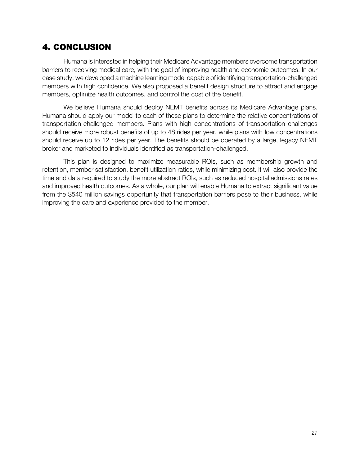# 4. CONCLUSION

Humana is interested in helping their Medicare Advantage members overcome transportation barriers to receiving medical care, with the goal of improving health and economic outcomes. In our case study, we developed a machine learning model capable of identifying transportation-challenged members with high confidence. We also proposed a benefit design structure to attract and engage members, optimize health outcomes, and control the cost of the benefit.

We believe Humana should deploy NEMT benefits across its Medicare Advantage plans. Humana should apply our model to each of these plans to determine the relative concentrations of transportation-challenged members. Plans with high concentrations of transportation challenges should receive more robust benefits of up to 48 rides per year, while plans with low concentrations should receive up to 12 rides per year. The benefits should be operated by a large, legacy NEMT broker and marketed to individuals identified as transportation-challenged.

This plan is designed to maximize measurable ROIs, such as membership growth and retention, member satisfaction, benefit utilization ratios, while minimizing cost. It will also provide the time and data required to study the more abstract ROIs, such as reduced hospital admissions rates and improved health outcomes. As a whole, our plan will enable Humana to extract significant value from the \$540 million savings opportunity that transportation barriers pose to their business, while improving the care and experience provided to the member.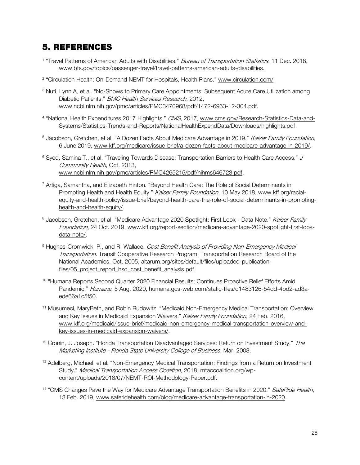# 5. REFERENCES

- <sup>1</sup> "Travel Patterns of American Adults with Disabilities." *Bureau of Transportation Statistics*, 11 Dec. 2018, www.bts.gov/topics/passenger-travel/travel-patterns-american-adults-disabilities.
- <sup>2</sup> "Circulation Health: On-Demand NEMT for Hospitals, Health Plans." www.circulation.com/.
- <sup>3</sup> Nuti, Lynn A, et al. "No-Shows to Primary Care Appointments: Subsequent Acute Care Utilization among Diabetic Patients." BMC Health Services Research, 2012, www.ncbi.nlm.nih.gov/pmc/articles/PMC3470968/pdf/1472-6963-12-304.pdf.
- <sup>4</sup> "National Health Expenditures 2017 Highlights." CMS, 2017, www.cms.gov/Research-Statistics-Data-and-Systems/Statistics-Trends-and-Reports/NationalHealthExpendData/Downloads/highlights.pdf.
- <sup>5</sup> Jacobson, Gretchen, et al. "A Dozen Facts About Medicare Advantage in 2019." Kaiser Family Foundation, 6 June 2019, www.kff.org/medicare/issue-brief/a-dozen-facts-about-medicare-advantage-in-2019/.
- <sup>6</sup> Syed, Samina T., et al. "Traveling Towards Disease: Transportation Barriers to Health Care Access." J Community Health, Oct. 2013, www.ncbi.nlm.nih.gov/pmc/articles/PMC4265215/pdf/nihms646723.pdf.
- <sup>7</sup> Artiga, Samantha, and Elizabeth Hinton. "Beyond Health Care: The Role of Social Determinants in Promoting Health and Health Equity." Kaiser Family Foundation, 10 May 2018, www.kff.org/racialequity-and-health-policy/issue-brief/beyond-health-care-the-role-of-social-determinants-in-promotinghealth-and-health-equity/.
- 8 Jacobson, Gretchen, et al. "Medicare Advantage 2020 Spotlight: First Look Data Note." Kaiser Family Foundation, 24 Oct. 2019, www.kff.org/report-section/medicare-advantage-2020-spotlight-first-lookdata-note/.
- <sup>9</sup> Hughes-Cromwick, P., and R. Wallace. Cost Benefit Analysis of Providing Non-Emergency Medical Transportation. Transit Cooperative Research Program, Transportation Research Board of the National Academies, Oct. 2005, altarum.org/sites/default/files/uploaded-publicationfiles/05 project report hsd cost benefit analysis.pdf.
- <sup>10</sup> "Humana Reports Second Quarter 2020 Financial Results; Continues Proactive Relief Efforts Amid Pandemic." Humana, 5 Aug. 2020, humana.gcs-web.com/static-files/d1483126-54dd-4bd2-ad3aede66a1c5f50.
- <sup>11</sup> Musumeci, MaryBeth, and Robin Rudowitz. "Medicaid Non-Emergency Medical Transportation: Overview and Key Issues in Medicaid Expansion Waivers." Kaiser Family Foundation, 24 Feb. 2016, www.kff.org/medicaid/issue-brief/medicaid-non-emergency-medical-transportation-overview-andkey-issues-in-medicaid-expansion-waivers/.
- <sup>12</sup> Cronin, J. Joseph. "Florida Transportation Disadvantaged Services: Return on Investment Study." The Marketing Institute - Florida State University College of Business, Mar. 2008.
- <sup>13</sup> Adelberg, Michael, et al. "Non-Emergency Medical Transportation: Findings from a Return on Investment Study." Medical Transportation Access Coalition, 2018, mtaccoalition.org/wpcontent/uploads/2018/07/NEMT-ROI-Methodology-Paper.pdf.
- <sup>14</sup> "CMS Changes Pave the Way for Medicare Advantage Transportation Benefits in 2020." SafeRide Health, 13 Feb. 2019, www.saferidehealth.com/blog/medicare-advantage-transportation-in-2020.